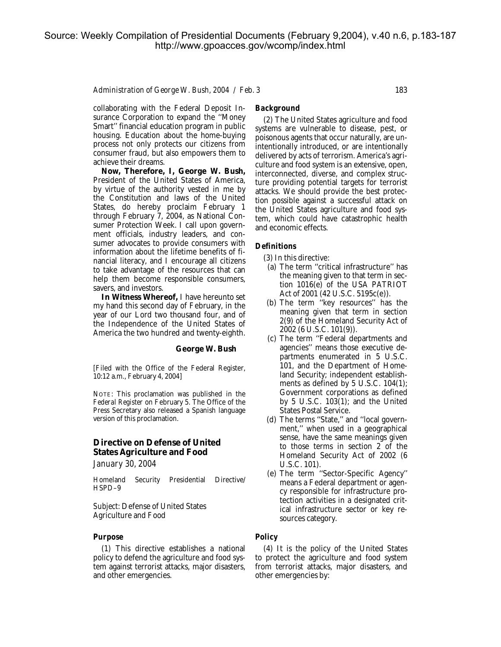#### *Administration of George W. Bush, 2004 / Feb. 3* 183

collaborating with the Federal Deposit Insurance Corporation to expand the ''Money Smart'' financial education program in public housing. Education about the home-buying process not only protects our citizens from consumer fraud, but also empowers them to achieve their dreams.

**Now, Therefore, I, George W. Bush,** President of the United States of America, by virtue of the authority vested in me by the Constitution and laws of the United States, do hereby proclaim February 1 through February 7, 2004, as National Consumer Protection Week. I call upon government officials, industry leaders, and consumer advocates to provide consumers with information about the lifetime benefits of financial literacy, and I encourage all citizens to take advantage of the resources that can help them become responsible consumers, savers, and investors.

**In Witness Whereof,** I have hereunto set my hand this second day of February, in the year of our Lord two thousand four, and of the Independence of the United States of America the two hundred and twenty-eighth.

#### **George W. Bush**

[Filed with the Office of the Federal Register, 10:12 a.m., February 4, 2004]

NOTE: This proclamation was published in the *Federal Register* on February 5. The Office of the Press Secretary also released a Spanish language version of this proclamation.

# **Directive on Defense of United States Agriculture and Food**

*January 30, 2004*

Homeland Security Presidential Directive/ HSPD–9

*Subject:* Defense of United States Agriculture and Food

### *Purpose*

(1) This directive establishes a national policy to defend the agriculture and food system against terrorist attacks, major disasters, and other emergencies.

### *Background*

(2) The United States agriculture and food systems are vulnerable to disease, pest, or poisonous agents that occur naturally, are unintentionally introduced, or are intentionally delivered by acts of terrorism. America's agriculture and food system is an extensive, open, interconnected, diverse, and complex structure providing potential targets for terrorist attacks. We should provide the best protection possible against a successful attack on the United States agriculture and food system, which could have catastrophic health and economic effects.

## *Definitions*

- (3) In this directive:
- (a) The term ''critical infrastructure'' has the meaning given to that term in section 1016(e) of the USA PATRIOT Act of 2001 (42 U.S.C. 5195c(e)).
- (b) The term ''key resources'' has the meaning given that term in section 2(9) of the Homeland Security Act of 2002 (6 U.S.C. 101(9)).
- (c) The term ''Federal departments and agencies'' means those executive departments enumerated in 5 U.S.C. 101, and the Department of Homeland Security; independent establishments as defined by 5 U.S.C. 104(1); Government corporations as defined by 5 U.S.C. 103(1); and the United States Postal Service.
- (d) The terms ''State,'' and ''local government,'' when used in a geographical sense, have the same meanings given to those terms in section 2 of the Homeland Security Act of 2002 (6 U.S.C. 101).
- (e) The term ''Sector-Specific Agency'' means a Federal department or agency responsible for infrastructure protection activities in a designated critical infrastructure sector or key resources category.

#### *Policy*

(4) It is the policy of the United States to protect the agriculture and food system from terrorist attacks, major disasters, and other emergencies by: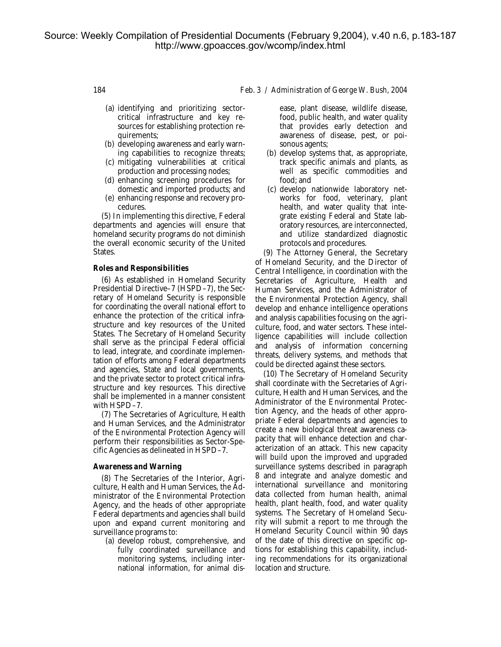- (a) identifying and prioritizing sectorcritical infrastructure and key resources for establishing protection requirements;
- (b) developing awareness and early warning capabilities to recognize threats;
- (c) mitigating vulnerabilities at critical production and processing nodes;
- (d) enhancing screening procedures for domestic and imported products; and
- (e) enhancing response and recovery procedures.

(5) In implementing this directive, Federal departments and agencies will ensure that homeland security programs do not diminish the overall economic security of the United States.

### *Roles and Responsibilities*

(6) As established in Homeland Security Presidential Directive–7 (HSPD–7), the Secretary of Homeland Security is responsible for coordinating the overall national effort to enhance the protection of the critical infrastructure and key resources of the United States. The Secretary of Homeland Security shall serve as the principal Federal official to lead, integrate, and coordinate implementation of efforts among Federal departments and agencies, State and local governments, and the private sector to protect critical infrastructure and key resources. This directive shall be implemented in a manner consistent with HSPD–7.

(7) The Secretaries of Agriculture, Health and Human Services, and the Administrator of the Environmental Protection Agency will perform their responsibilities as Sector-Specific Agencies as delineated in HSPD–7.

#### *Awareness and Warning*

(8) The Secretaries of the Interior, Agriculture, Health and Human Services, the Administrator of the Environmental Protection Agency, and the heads of other appropriate Federal departments and agencies shall build upon and expand current monitoring and surveillance programs to:

(a) develop robust, comprehensive, and fully coordinated surveillance and monitoring systems, including international information, for animal dis-

### 184 *Feb. 3 / Administration of George W. Bush, 2004*

ease, plant disease, wildlife disease, food, public health, and water quality that provides early detection and awareness of disease, pest, or poisonous agents;

- (b) develop systems that, as appropriate, track specific animals and plants, as well as specific commodities and food; and
- (c) develop nationwide laboratory networks for food, veterinary, plant health, and water quality that integrate existing Federal and State laboratory resources, are interconnected, and utilize standardized diagnostic protocols and procedures.

(9) The Attorney General, the Secretary of Homeland Security, and the Director of Central Intelligence, in coordination with the Secretaries of Agriculture, Health and Human Services, and the Administrator of the Environmental Protection Agency, shall develop and enhance intelligence operations and analysis capabilities focusing on the agriculture, food, and water sectors. These intelligence capabilities will include collection and analysis of information concerning threats, delivery systems, and methods that could be directed against these sectors.

(10) The Secretary of Homeland Security shall coordinate with the Secretaries of Agriculture, Health and Human Services, and the Administrator of the Environmental Protection Agency, and the heads of other appropriate Federal departments and agencies to create a new biological threat awareness capacity that will enhance detection and characterization of an attack. This new capacity will build upon the improved and upgraded surveillance systems described in paragraph 8 and integrate and analyze domestic and international surveillance and monitoring data collected from human health, animal health, plant health, food, and water quality systems. The Secretary of Homeland Security will submit a report to me through the Homeland Security Council within 90 days of the date of this directive on specific options for establishing this capability, including recommendations for its organizational location and structure.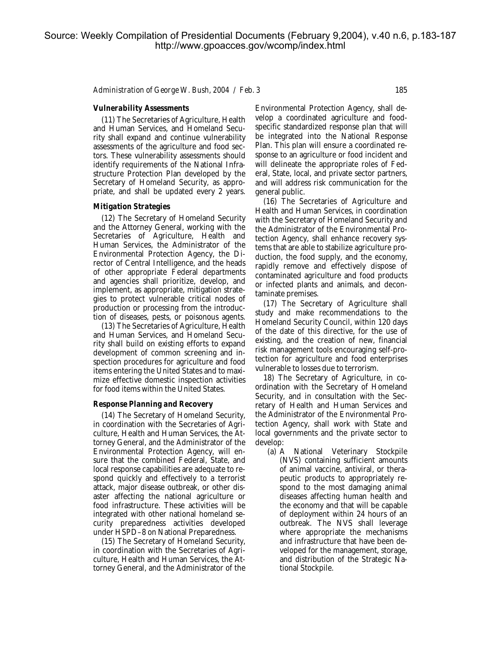*Administration of George W. Bush, 2004 / Feb. 3* 185

### *Vulnerability Assessments*

(11) The Secretaries of Agriculture, Health and Human Services, and Homeland Security shall expand and continue vulnerability assessments of the agriculture and food sectors. These vulnerability assessments should identify requirements of the National Infrastructure Protection Plan developed by the Secretary of Homeland Security, as appropriate, and shall be updated every 2 years.

#### *Mitigation Strategies*

(12) The Secretary of Homeland Security and the Attorney General, working with the Secretaries of Agriculture, Health and Human Services, the Administrator of the Environmental Protection Agency, the Director of Central Intelligence, and the heads of other appropriate Federal departments and agencies shall prioritize, develop, and implement, as appropriate, mitigation strategies to protect vulnerable critical nodes of production or processing from the introduction of diseases, pests, or poisonous agents.

(13) The Secretaries of Agriculture, Health and Human Services, and Homeland Security shall build on existing efforts to expand development of common screening and inspection procedures for agriculture and food items entering the United States and to maximize effective domestic inspection activities for food items within the United States.

#### *Response Planning and Recovery*

(14) The Secretary of Homeland Security, in coordination with the Secretaries of Agriculture, Health and Human Services, the Attorney General, and the Administrator of the Environmental Protection Agency, will ensure that the combined Federal, State, and local response capabilities are adequate to respond quickly and effectively to a terrorist attack, major disease outbreak, or other disaster affecting the national agriculture or food infrastructure. These activities will be integrated with other national homeland security preparedness activities developed under HSPD–8 on National Preparedness.

(15) The Secretary of Homeland Security, in coordination with the Secretaries of Agriculture, Health and Human Services, the Attorney General, and the Administrator of the

Environmental Protection Agency, shall develop a coordinated agriculture and foodspecific standardized response plan that will be integrated into the National Response Plan. This plan will ensure a coordinated response to an agriculture or food incident and will delineate the appropriate roles of Federal, State, local, and private sector partners, and will address risk communication for the general public.

(16) The Secretaries of Agriculture and Health and Human Services, in coordination with the Secretary of Homeland Security and the Administrator of the Environmental Protection Agency, shall enhance recovery systems that are able to stabilize agriculture production, the food supply, and the economy, rapidly remove and effectively dispose of contaminated agriculture and food products or infected plants and animals, and decontaminate premises.

(17) The Secretary of Agriculture shall study and make recommendations to the Homeland Security Council, within 120 days of the date of this directive, for the use of existing, and the creation of new, financial risk management tools encouraging self-protection for agriculture and food enterprises vulnerable to losses due to terrorism.

18) The Secretary of Agriculture, in coordination with the Secretary of Homeland Security, and in consultation with the Secretary of Health and Human Services and the Administrator of the Environmental Protection Agency, shall work with State and local governments and the private sector to develop:

(a) A National Veterinary Stockpile (NVS) containing sufficient amounts of animal vaccine, antiviral, or therapeutic products to appropriately respond to the most damaging animal diseases affecting human health and the economy and that will be capable of deployment within 24 hours of an outbreak. The NVS shall leverage where appropriate the mechanisms and infrastructure that have been developed for the management, storage, and distribution of the Strategic National Stockpile.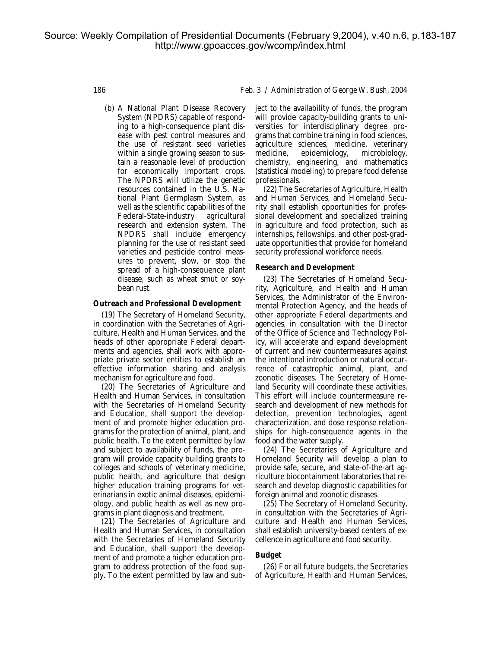(b) A National Plant Disease Recovery System (NPDRS) capable of responding to a high-consequence plant disease with pest control measures and the use of resistant seed varieties within a single growing season to sustain a reasonable level of production for economically important crops. The NPDRS will utilize the genetic resources contained in the U.S. National Plant Germplasm System, as well as the scientific capabilities of the Federal-State-industry agricultural research and extension system. The NPDRS shall include emergency planning for the use of resistant seed varieties and pesticide control measures to prevent, slow, or stop the spread of a high-consequence plant disease, such as wheat smut or soybean rust.

### *Outreach and Professional Development*

(19) The Secretary of Homeland Security, in coordination with the Secretaries of Agriculture, Health and Human Services, and the heads of other appropriate Federal departments and agencies, shall work with appropriate private sector entities to establish an effective information sharing and analysis mechanism for agriculture and food.

(20) The Secretaries of Agriculture and Health and Human Services, in consultation with the Secretaries of Homeland Security and Education, shall support the development of and promote higher education programs for the protection of animal, plant, and public health. To the extent permitted by law and subject to availability of funds, the program will provide capacity building grants to colleges and schools of veterinary medicine, public health, and agriculture that design higher education training programs for veterinarians in exotic animal diseases, epidemiology, and public health as well as new programs in plant diagnosis and treatment.

(21) The Secretaries of Agriculture and Health and Human Services, in consultation with the Secretaries of Homeland Security and Education, shall support the development of and promote a higher education program to address protection of the food supply. To the extent permitted by law and sub-

186 *Feb. 3 / Administration of George W. Bush, 2004*

ject to the availability of funds, the program will provide capacity-building grants to universities for interdisciplinary degree programs that combine training in food sciences, agriculture sciences, medicine, veterinary medicine, epidemiology, microbiology, chemistry, engineering, and mathematics (statistical modeling) to prepare food defense professionals.

(22) The Secretaries of Agriculture, Health and Human Services, and Homeland Security shall establish opportunities for professional development and specialized training in agriculture and food protection, such as internships, fellowships, and other post-graduate opportunities that provide for homeland security professional workforce needs.

#### *Research and Development*

(23) The Secretaries of Homeland Security, Agriculture, and Health and Human Services, the Administrator of the Environmental Protection Agency, and the heads of other appropriate Federal departments and agencies, in consultation with the Director of the Office of Science and Technology Policy, will accelerate and expand development of current and new countermeasures against the intentional introduction or natural occurrence of catastrophic animal, plant, and zoonotic diseases. The Secretary of Homeland Security will coordinate these activities. This effort will include countermeasure research and development of new methods for detection, prevention technologies, agent characterization, and dose response relationships for high-consequence agents in the food and the water supply.

(24) The Secretaries of Agriculture and Homeland Security will develop a plan to provide safe, secure, and state-of-the-art agriculture biocontainment laboratories that research and develop diagnostic capabilities for foreign animal and zoonotic diseases.

(25) The Secretary of Homeland Security, in consultation with the Secretaries of Agriculture and Health and Human Services, shall establish university-based centers of excellence in agriculture and food security.

#### *Budget*

(26) For all future budgets, the Secretaries of Agriculture, Health and Human Services,